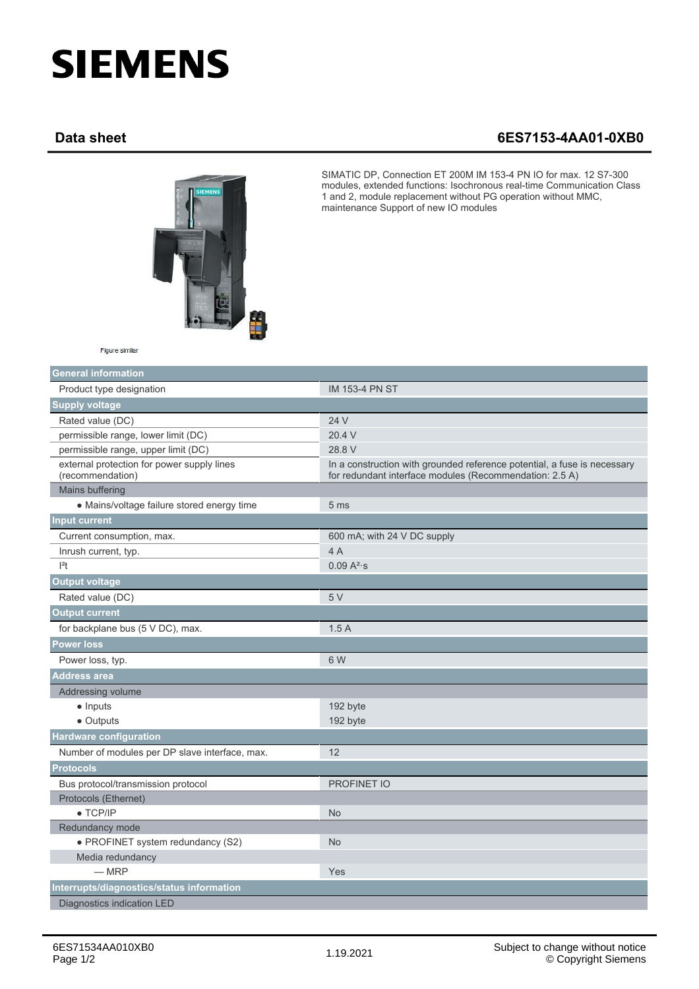## **SIEMENS**

## **Data sheet 6ES7153-4AA01-0XB0**



SIMATIC DP, Connection ET 200M IM 153-4 PN IO for max. 12 S7-300 modules, extended functions: Isochronous real-time Communication Class 1 and 2, module replacement without PG operation without MMC, maintenance Support of new IO modules

| Figure similar |
|----------------|
|                |

| <b>General information</b>                                     |                                                                                                                                     |
|----------------------------------------------------------------|-------------------------------------------------------------------------------------------------------------------------------------|
| Product type designation                                       | <b>IM 153-4 PN ST</b>                                                                                                               |
| <b>Supply voltage</b>                                          |                                                                                                                                     |
| Rated value (DC)                                               | 24 V                                                                                                                                |
| permissible range, lower limit (DC)                            | 20.4 V                                                                                                                              |
| permissible range, upper limit (DC)                            | 28.8 V                                                                                                                              |
| external protection for power supply lines<br>(recommendation) | In a construction with grounded reference potential, a fuse is necessary<br>for redundant interface modules (Recommendation: 2.5 A) |
| Mains buffering                                                |                                                                                                                                     |
| • Mains/voltage failure stored energy time                     | 5 <sub>ms</sub>                                                                                                                     |
| <b>Input current</b>                                           |                                                                                                                                     |
| Current consumption, max.                                      | 600 mA; with 24 V DC supply                                                                                                         |
| Inrush current, typ.                                           | 4A                                                                                                                                  |
| $ ^{2}t$                                                       | 0.09 A <sup>2</sup> ·s                                                                                                              |
| <b>Output voltage</b>                                          |                                                                                                                                     |
| Rated value (DC)                                               | 5V                                                                                                                                  |
| <b>Output current</b>                                          |                                                                                                                                     |
| for backplane bus (5 V DC), max.                               | 1.5A                                                                                                                                |
| <b>Power loss</b>                                              |                                                                                                                                     |
| Power loss, typ.                                               | 6 W                                                                                                                                 |
| <b>Address area</b>                                            |                                                                                                                                     |
| Addressing volume                                              |                                                                                                                                     |
| $\bullet$ Inputs                                               | 192 byte                                                                                                                            |
| • Outputs                                                      | 192 byte                                                                                                                            |
| <b>Hardware configuration</b>                                  |                                                                                                                                     |
| Number of modules per DP slave interface, max.                 | 12                                                                                                                                  |
| <b>Protocols</b>                                               |                                                                                                                                     |
| Bus protocol/transmission protocol                             | PROFINET IO                                                                                                                         |
| Protocols (Ethernet)                                           |                                                                                                                                     |
| $\bullet$ TCP/IP                                               | <b>No</b>                                                                                                                           |
| Redundancy mode                                                |                                                                                                                                     |
| • PROFINET system redundancy (S2)                              | <b>No</b>                                                                                                                           |
| Media redundancy                                               |                                                                                                                                     |
| $-MRP$                                                         | Yes                                                                                                                                 |
| Interrupts/diagnostics/status information                      |                                                                                                                                     |
| Diagnostics indication LED                                     |                                                                                                                                     |